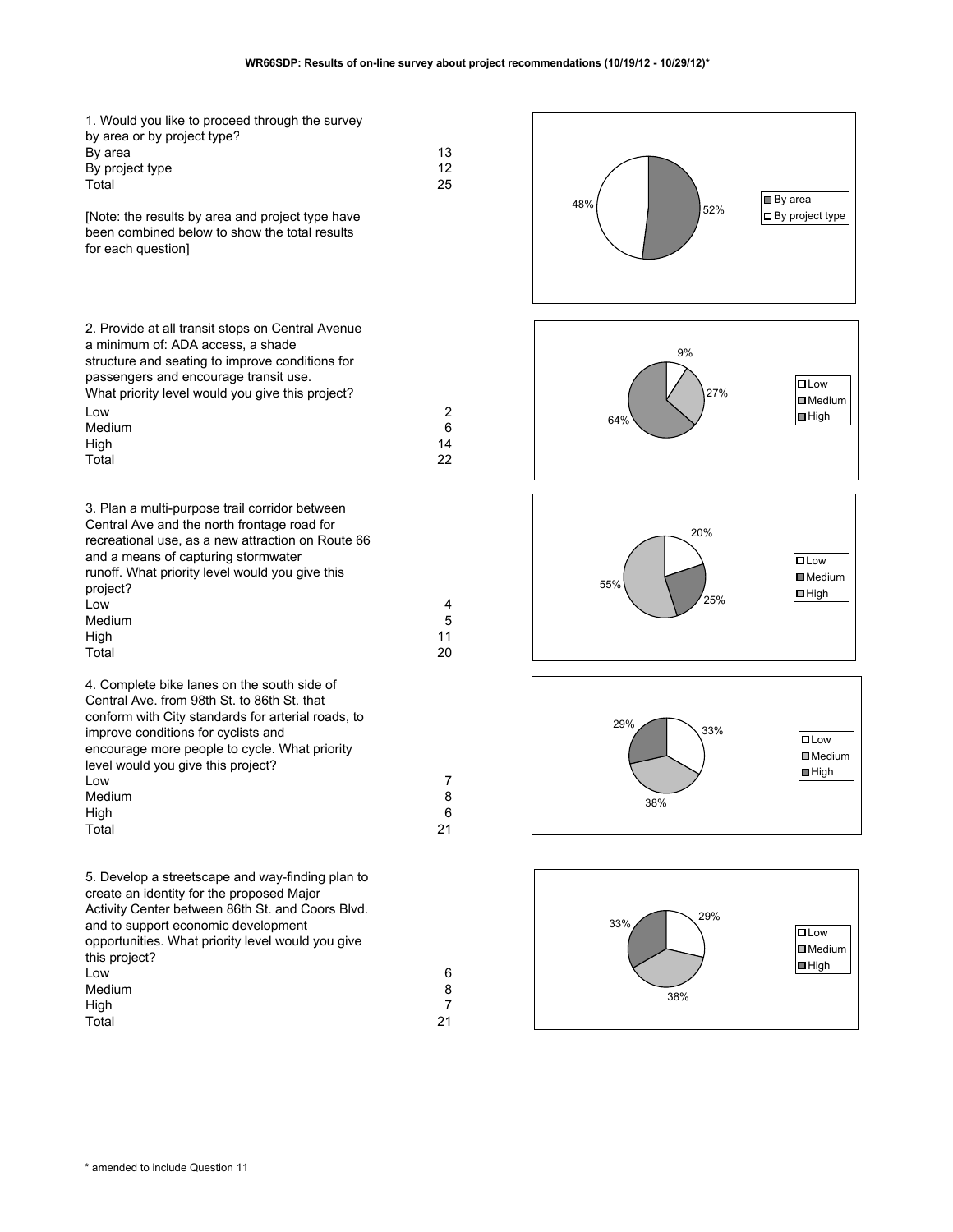| 1. Would you like to proceed through the survey<br>by area or by project type?<br>By area<br>By project type<br>Total<br>[Note: the results by area and project type have<br>been combined below to show the total results<br>for each question]                                                                 | 13<br>12<br>25     | 48%<br>52%        | <b>■</b> By area<br>$\Box$ By project type               |
|------------------------------------------------------------------------------------------------------------------------------------------------------------------------------------------------------------------------------------------------------------------------------------------------------------------|--------------------|-------------------|----------------------------------------------------------|
| 2. Provide at all transit stops on Central Avenue<br>a minimum of: ADA access, a shade<br>structure and seating to improve conditions for<br>passengers and encourage transit use.<br>What priority level would you give this project?<br>Low<br>Medium<br>High<br>Total                                         | 2<br>6<br>14<br>22 | 9%<br>27%<br>64%  | $\square$ Low<br><b>I</b> Medium<br>$\blacksquare$ High  |
| 3. Plan a multi-purpose trail corridor between<br>Central Ave and the north frontage road for<br>recreational use, as a new attraction on Route 66<br>and a means of capturing stormwater<br>runoff. What priority level would you give this<br>project?<br>Low<br>Medium<br>High<br>Total                       | 4<br>5<br>11<br>20 | 20%<br>55%<br>25% | $\square$ Low<br><b>■</b> Medium<br>$\Box$ High          |
| 4. Complete bike lanes on the south side of<br>Central Ave. from 98th St. to 86th St. that<br>conform with City standards for arterial roads, to<br>improve conditions for cyclists and<br>encourage more people to cycle. What priority<br>level would you give this project?<br>Low<br>Medium<br>High<br>Total | 7<br>8<br>6<br>21  | 29%<br>33%<br>38% | $\Box$ Low<br><b>□</b> Medium<br>$\blacksquare$ High     |
| 5. Develop a streetscape and way-finding plan to<br>create an identity for the proposed Major<br>Activity Center between 86th St. and Coors Blvd.<br>and to support economic development<br>opportunities. What priority level would you give<br>this project?<br>Low<br>Medium                                  | 6<br>8             | 29%<br>33%<br>38% | $\square$ Low<br><b>ID</b> Medium<br>$\blacksquare$ High |

High 7 Total 21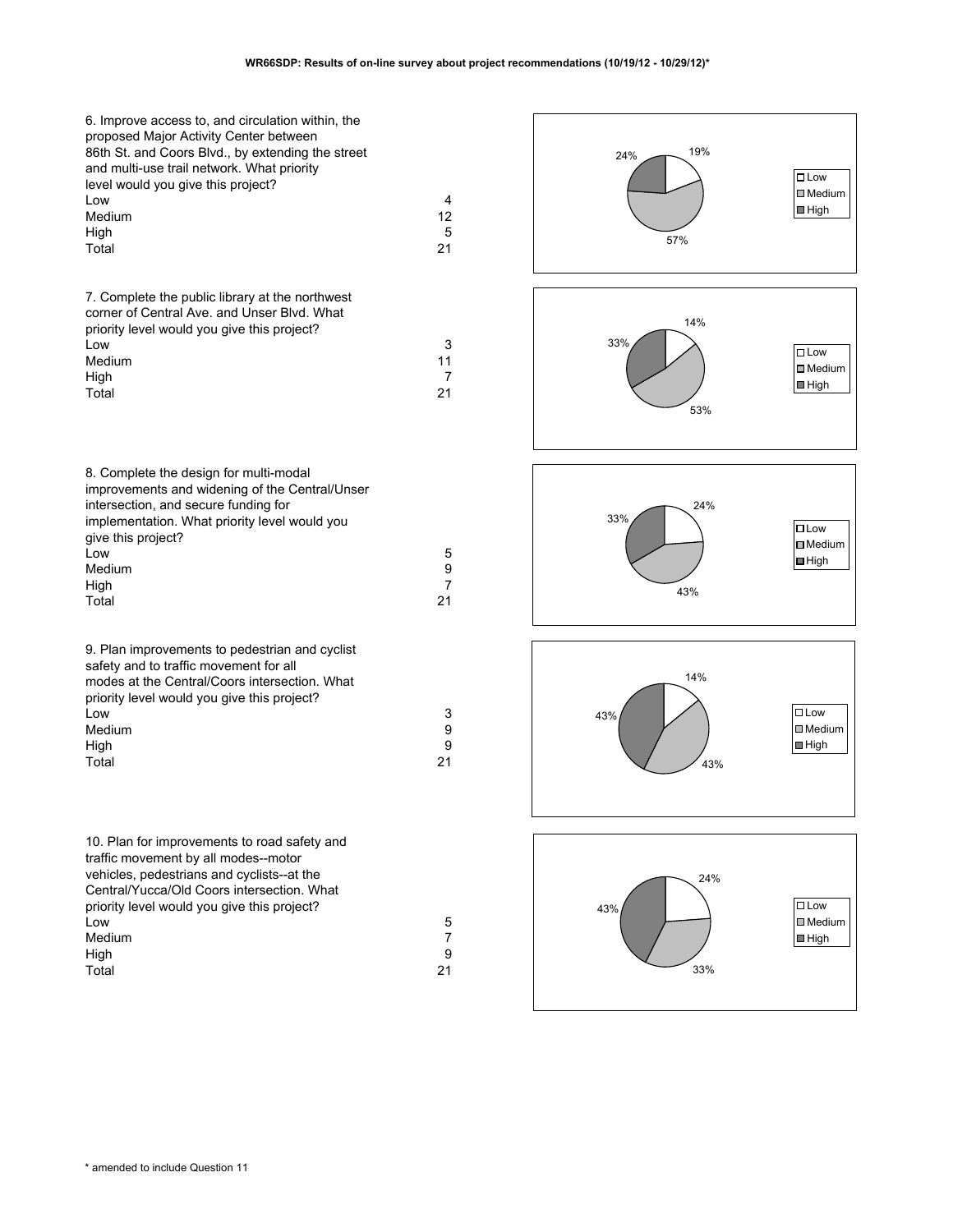| 6. Improve access to, and circulation within, the<br>proposed Major Activity Center between<br>86th St. and Coors Blvd., by extending the street<br>and multi-use trail network. What priority<br>level would you give this project?<br>Low<br>Medium<br>High<br>Total | 4<br>12<br>5<br>21              | 19%<br>24%<br>57% | $\square$ Low<br>$\Box$ Medium<br>$\blacksquare$ High   |
|------------------------------------------------------------------------------------------------------------------------------------------------------------------------------------------------------------------------------------------------------------------------|---------------------------------|-------------------|---------------------------------------------------------|
| 7. Complete the public library at the northwest<br>corner of Central Ave. and Unser Blvd. What<br>priority level would you give this project?<br>Low<br>Medium<br>High<br>Total                                                                                        | 3<br>11<br>$\overline{7}$<br>21 | 14%<br>33%<br>53% | $\square$ Low<br>$\Box$ Medium<br>$\blacksquare$ High   |
| 8. Complete the design for multi-modal<br>improvements and widening of the Central/Unser<br>intersection, and secure funding for<br>implementation. What priority level would you<br>give this project?<br>Low<br>Medium<br>High<br>Total                              | 5<br>9<br>$\overline{7}$<br>21  | 24%<br>33%<br>43% | $\square$ Low<br><b>□</b> Medium<br>$\blacksquare$ High |
| 9. Plan improvements to pedestrian and cyclist<br>safety and to traffic movement for all<br>modes at the Central/Coors intersection. What<br>priority level would you give this project?<br>Low<br>Medium<br>High<br>Total                                             | 3<br>9<br>9<br>21               | 14%<br>43%<br>43% | $\square$ Low<br><b>■</b> Medium<br>$\blacksquare$ High |
| 10. Plan for improvements to road safety and<br>traffic movement by all modes--motor<br>vehicles, pedestrians and cyclists--at the                                                                                                                                     |                                 | 24%               |                                                         |

33%

 $43\%$   $\Box$ 

 $\Box$  Medium  $\Box$ High

| Central/Yucca/Old Coors intersection. What  |    |
|---------------------------------------------|----|
| priority level would you give this project? |    |
| Low                                         | 5  |
| Medium                                      |    |
| High                                        | 9  |
| Total                                       | 21 |
|                                             |    |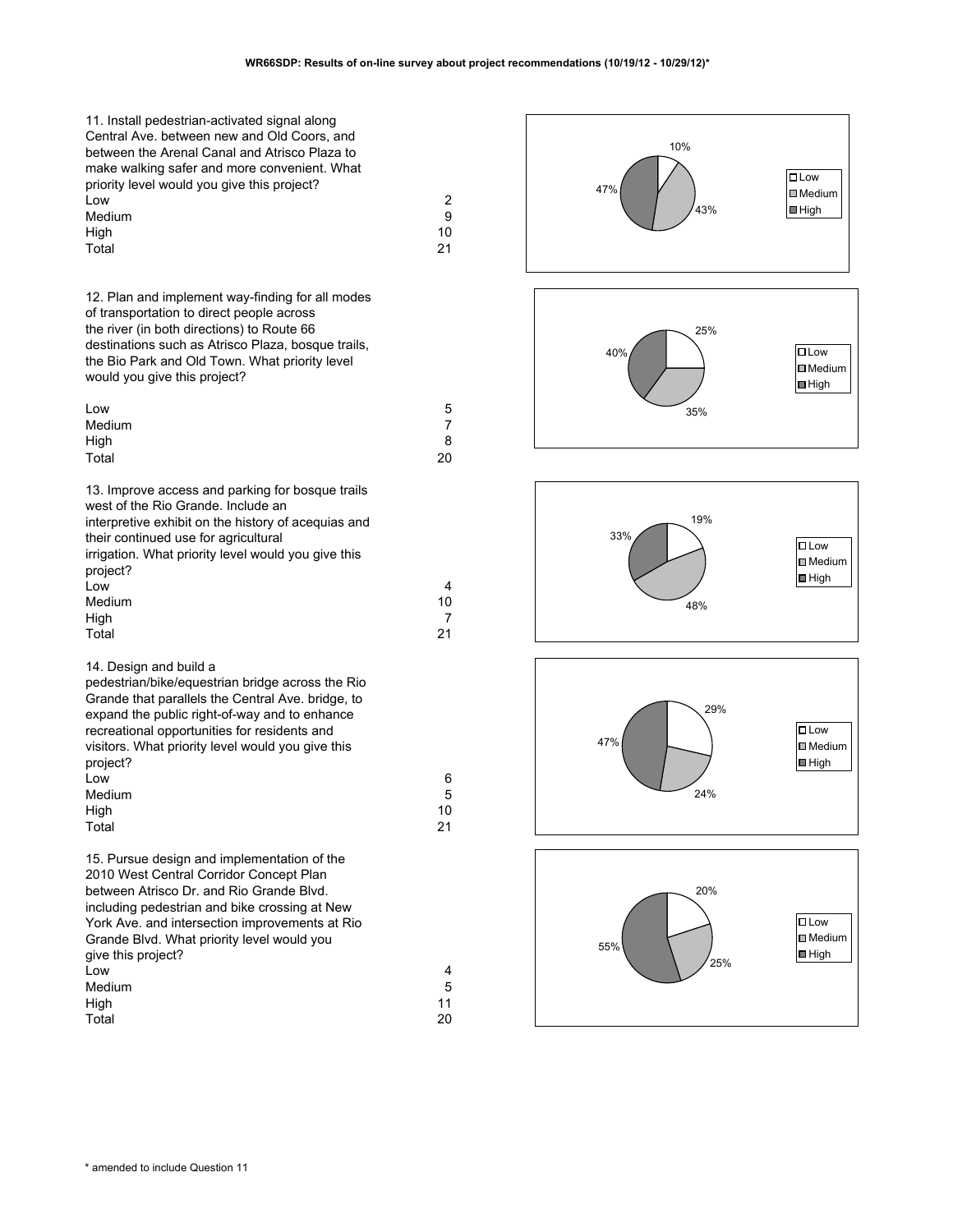| 11. Install pedestrian-activated signal along<br>Central Ave. between new and Old Coors, and<br>between the Arenal Canal and Atrisco Plaza to<br>make walking safer and more convenient. What<br>priority level would you give this project?<br>Low<br>Medium<br>High<br>Total                                                              | 2<br>9<br>10<br>21              | 10%<br>47%<br>43% | $\square$ Low<br><b>I</b> Medium<br>$\blacksquare$ High       |
|---------------------------------------------------------------------------------------------------------------------------------------------------------------------------------------------------------------------------------------------------------------------------------------------------------------------------------------------|---------------------------------|-------------------|---------------------------------------------------------------|
| 12. Plan and implement way-finding for all modes<br>of transportation to direct people across<br>the river (in both directions) to Route 66<br>destinations such as Atrisco Plaza, bosque trails,<br>the Bio Park and Old Town. What priority level<br>would you give this project?<br>Low                                                  | 5                               | 25%<br>40%<br>35% | $\square$ Low<br><b>■</b> Medium<br>$\blacksquare$ High       |
| Medium<br>High                                                                                                                                                                                                                                                                                                                              | 7<br>8                          |                   |                                                               |
| Total                                                                                                                                                                                                                                                                                                                                       | 20                              |                   |                                                               |
| 13. Improve access and parking for bosque trails<br>west of the Rio Grande. Include an<br>interpretive exhibit on the history of acequias and<br>their continued use for agricultural<br>irrigation. What priority level would you give this<br>project?<br>Low<br>Medium<br>High<br>Total                                                  | 4<br>10<br>$\overline{7}$<br>21 | 19%<br>33%<br>48% | $\square$ Low<br><b>I</b> Medium<br>$\blacksquare$ High       |
| 14. Design and build a<br>pedestrian/bike/equestrian bridge across the Rio<br>Grande that parallels the Central Ave. bridge, to<br>expand the public right-of-way and to enhance<br>recreational opportunities for residents and<br>visitors. What priority level would you give this<br>project?<br>Low<br>Medium<br>High<br>Total         | 6<br>5<br>10<br>21              | 29%<br>47%<br>24% | $\square$ Low<br>$\blacksquare$ Medium<br>$\blacksquare$ High |
| 15. Pursue design and implementation of the<br>2010 West Central Corridor Concept Plan<br>between Atrisco Dr. and Rio Grande Blvd.<br>including pedestrian and bike crossing at New<br>York Ave. and intersection improvements at Rio<br>Grande Blvd. What priority level would you<br>give this project?<br>Low<br>Medium<br>High<br>Total | 4<br>5<br>11<br>20              | 20%<br>55%<br>25% | $\square$ Low<br><b>□</b> Medium<br>$\blacksquare$ High       |